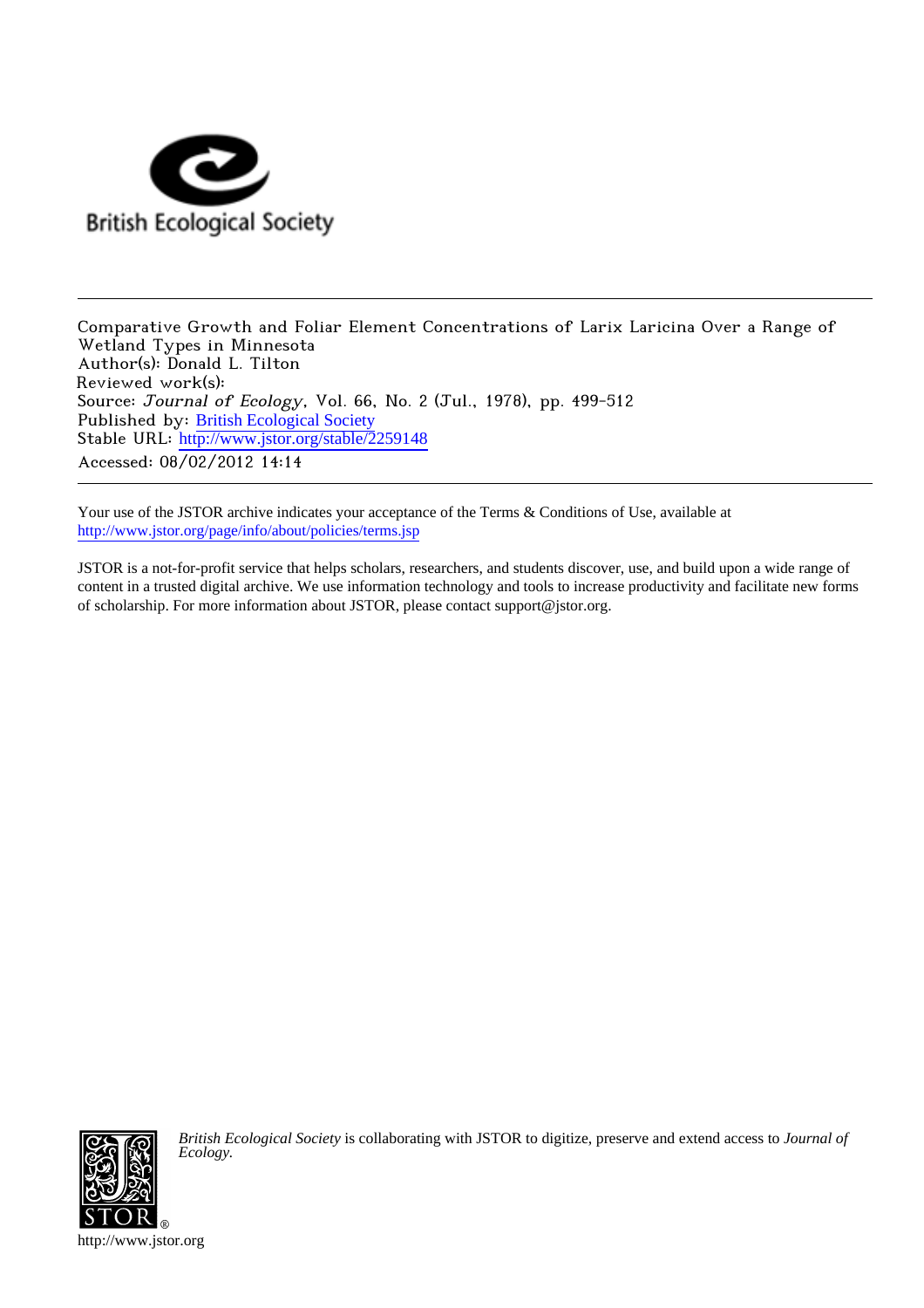

Comparative Growth and Foliar Element Concentrations of Larix Laricina Over a Range of Wetland Types in Minnesota Author(s): Donald L. Tilton Reviewed work(s): Source: Journal of Ecology, Vol. 66, No. 2 (Jul., 1978), pp. 499-512 Published by: [British Ecological Society](http://www.jstor.org/action/showPublisher?publisherCode=briteco) Stable URL: [http://www.jstor.org/stable/2259148](http://www.jstor.org/stable/2259148?origin=JSTOR-pdf) Accessed: 08/02/2012 14:14

Your use of the JSTOR archive indicates your acceptance of the Terms & Conditions of Use, available at <http://www.jstor.org/page/info/about/policies/terms.jsp>

JSTOR is a not-for-profit service that helps scholars, researchers, and students discover, use, and build upon a wide range of content in a trusted digital archive. We use information technology and tools to increase productivity and facilitate new forms of scholarship. For more information about JSTOR, please contact support@jstor.org.



*British Ecological Society* is collaborating with JSTOR to digitize, preserve and extend access to *Journal of Ecology.*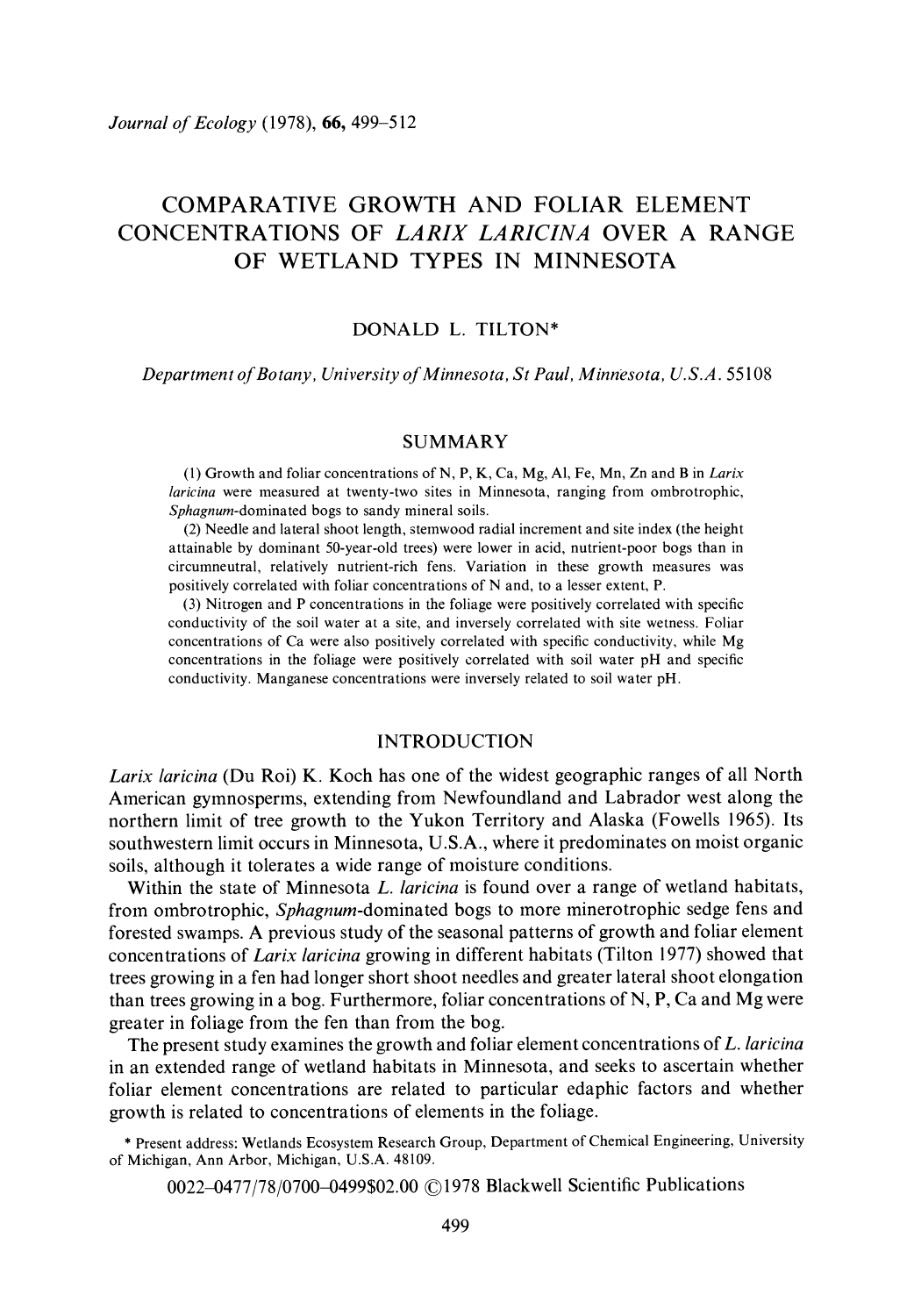# COMPARATIVE GROWTH AND FOLIAR ELEMENT CONCENTRATIONS OF LARIX LARICINA OVER A RANGE OF WETLAND TYPES IN MINNESOTA

### DONALD L. TILTON\*

Department of Botany, University of Minnesota, St Paul, Minnesota, U.S.A. 55108

### SUMMARY

(1) Growth and foliar concentrations of N, P, K, Ca, Mg, Al, Fe, Mn, Zn and B in Larix laricina were measured at twenty-two sites in Minnesota, ranging from ombrotrophic, Sphagnum-dominated bogs to sandy mineral soils.

(2) Needle and lateral shoot length, stemwood radial increment and site index (the height attainable by dominant 50-year-old trees) were lower in acid, nutrient-poor bogs than in circumneutral, relatively nutrient-rich fens. Variation in these growth measures was positively correlated with foliar concentrations of N and, to a lesser extent, P.

(3) Nitrogen and P concentrations in the foliage were positively correlated with specific conductivity of the soil water at a site, and inversely correlated with site wetness. Foliar concentrations of Ca were also positively correlated with specific conductivity, while Mg concentrations in the foliage were positively correlated with soil water pH and specific conductivity. Manganese concentrations were inversely related to soil water pH.

#### INTRODUCTION

Larix laricina (Du Roi) K. Koch has one of the widest geographic ranges of all North American gymnosperms, extending from Newfoundland and Labrador west along the northern limit of tree growth to the Yukon Territory and Alaska (Fowells 1965). Its southwestern limit occurs in Minnesota, U.S.A., where it predominates on moist organic soils, although it tolerates a wide range of moisture conditions.

Within the state of Minnesota L. laricina is found over a range of wetland habitats, from ombrotrophic, Sphagnum-dominated bogs to more minerotrophic sedge fens and forested swamps. A previous study of the seasonal patterns of growth and foliar element concentrations of Larix laricina growing in different habitats (Tilton 1977) showed that trees growing in a fen had longer short shoot needles and greater lateral shoot elongation than trees growing in a bog. Furthermore, foliar concentrations of N, P, Ca and Mg were greater in foliage from the fen than from the bog.

The present study examines the growth and foliar element concentrations of  $L$ . *laricina* in an extended range of wetland habitats in Minnesota, and seeks to ascertain whether foliar element concentrations are related to particular edaphic factors and whether growth is related to concentrations of elements in the foliage.

\* Present address: Wetlands Ecosystem Research Group, Department of Chemical Engineering, University of Michigan, Ann Arbor, Michigan, U.S.A. 48109.

0022-0477/78/0700-0499\$02.00 ©1978 Blackwell Scientific Publications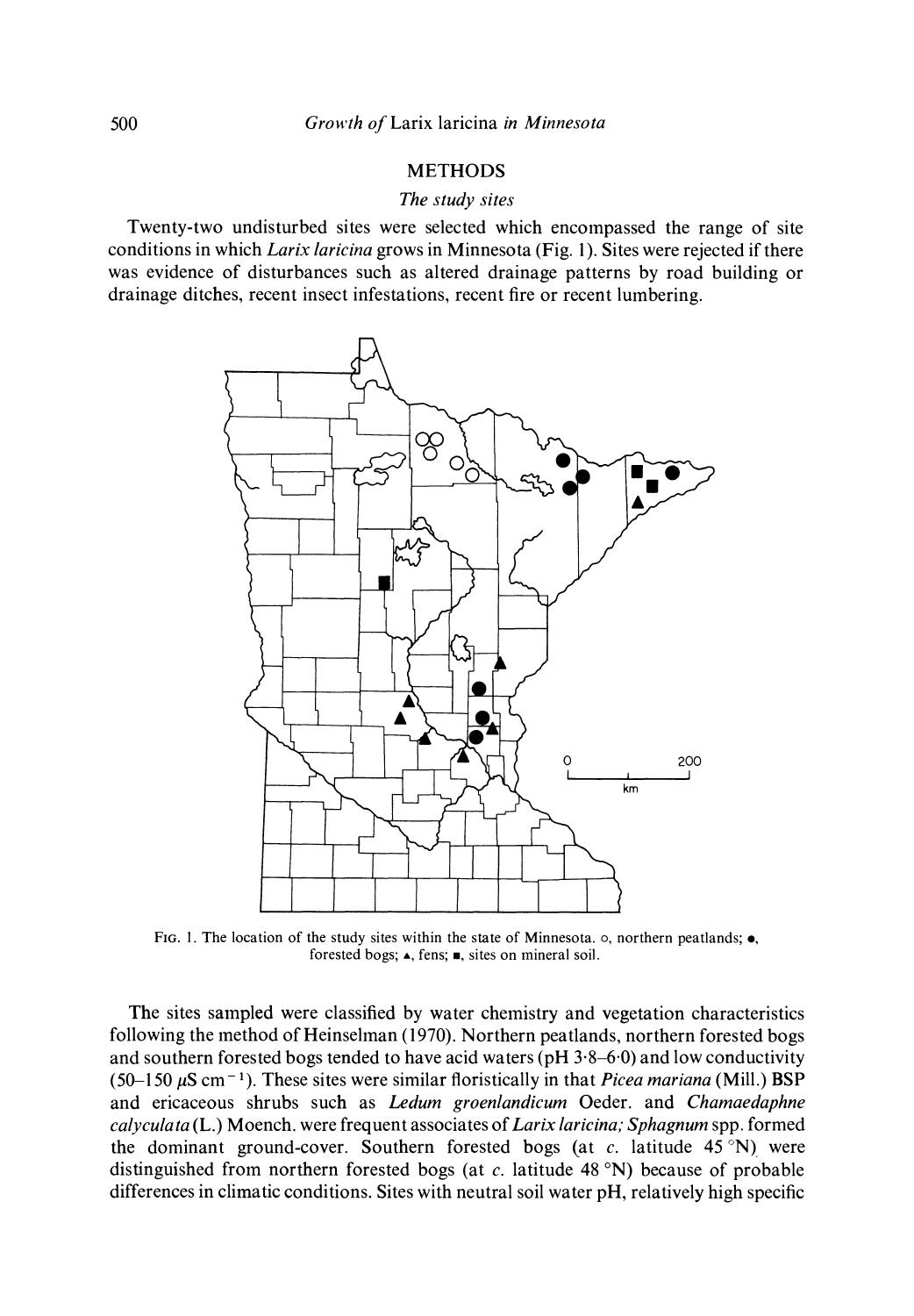### METHODS

### The study sites

Twenty-two undisturbed sites were selected which encompassed the range of site conditions in which Larix laricina grows in Minnesota (Fig. 1). Sites were rejected if there was evidence of disturbances such as altered drainage patterns by road building or drainage ditches, recent insect infestations, recent fire or recent lumbering.



FIG. 1. The location of the study sites within the state of Minnesota.  $\circ$ , northern peatlands;  $\bullet$ , forested bogs;  $\triangle$ , fens;  $\blacksquare$ , sites on mineral soil.

The sites sampled were classified by water chemistry and vegetation characteristics following the method of Heinselinan (1970). Northern peatlands, northern forested bogs and southern forested bogs tended to have acid waters ( $pH$  3.8–6.0) and low conductivity (50-150  $\mu$ S cm<sup>-1</sup>). These sites were similar floristically in that *Picea mariana* (Mill.) BSP and ericaceous shrubs such as Ledum groenlandicum Oeder. and Chamaedaphne  $calv$ calyculata (L.) Moench. were frequent associates of Larix laricina; Sphagnum spp. formed the dominant ground-cover. Southern forested bogs (at c. latitude 45 °N) were distinguished from northern forested bogs (at c. latitude 48 °N) because of probable differences in climatic conditions. Sites with neutral soil water pH, relatively high specific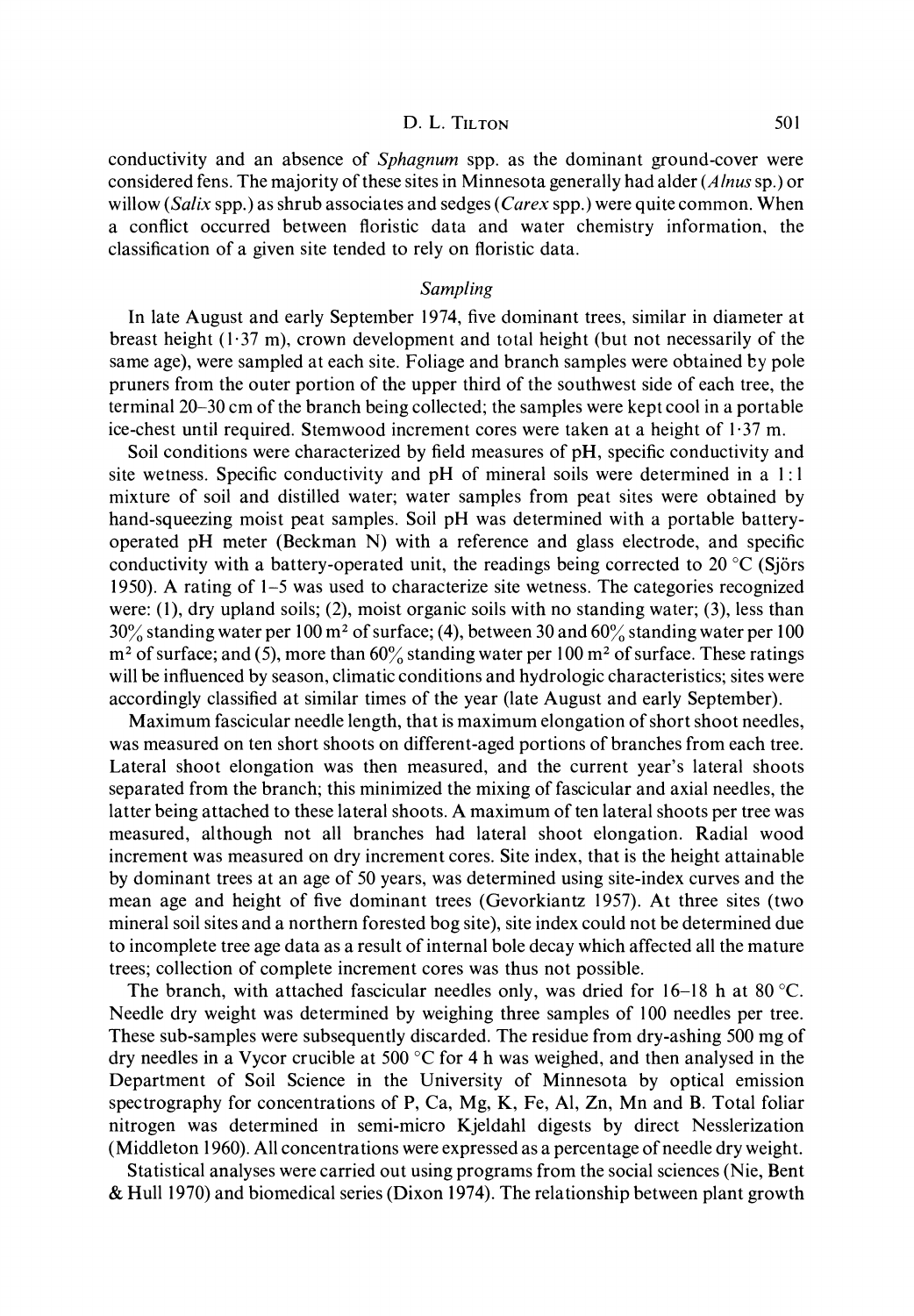conductivity and an absence of Sphagnum spp. as the dominant ground-cover were considered fens. The majority of these sites in Minnesota generally had alder (Alnus sp.) or willow (Salix spp.) as shrub associates and sedges (Carex spp.) were quite common. When a conflict occurred between floristic data and water chemistry information, the classification of a given site tended to rely on floristic data.

#### Sampling

In late August and early September 1974, five dominant trees, similar in diameter at breast height  $(1.37 \text{ m})$ , crown development and total height (but not necessarily of the same age), were sampled at each site. Foliage and branch samples were obtained by pole pruners from the outer portion of the upper third of the southwest side of each tree, the terminal 20-30 cm of the branch being collected; the samples were kept cool in a portable ice-chest until required. Stemwood increment cores were taken at a height of 1 37 m.

Soil conditions were characterized by field measures of pH, specific conductivity and site wetness. Specific conductivity and pH of mineral soils were determined in a 1: 1 mixture of soil and distilled water; water samples from peat sites were obtained by hand-squeezing moist peat samples. Soil pH was determined with a portable batteryoperated pH meter (Beckman N) with a reference and glass electrode, and specific conductivity with a battery-operated unit, the readings being corrected to 20  $\degree$ C (Sjörs 1950). A rating of 1-5 was used to characterize site wetness. The categories recognized were: (1), dry upland soils; (2), moist organic soils with no standing water; (3), less than  $30\%$  standing water per 100 m<sup>2</sup> of surface; (4), between 30 and 60% standing water per 100  $m<sup>2</sup>$  of surface; and (5), more than 60% standing water per 100 m<sup>2</sup> of surface. These ratings will be influenced by season, climatic conditions and hydrologic characteristics; sites were accordingly classified at similar times of the year (late August and early September).

Maximum fascicular needle length, that is maximum elongation of short shoot needles, was measured on ten short shoots on different-aged portions of branches from each tree. Lateral shoot elongation was then measured, and the current year's lateral shoots separated from the branch; this minimized the mixing of fascicular and axial needles, the latter being attached to these lateral shoots. A maximum of ten lateral shoots per tree was measured, although not all branches had lateral shoot elongation. Radial wood increment was measured on dry increment cores. Site index, that is the height attainable by dominant trees at an age of 50 years, was determined using site-index curves and the mean age and height of five dominant trees (Gevorkiantz 1957). At three sites (two mineral soil sites and a northern forested bog site), site index could not be determined due to incomplete tree age data as a result of internal bole decay which affected all the mature trees; collection of complete increment cores was thus not possible.

The branch, with attached fascicular needles only, was dried for  $16-18$  h at 80 °C. Needle dry weight was determined by weighing three samples of 100 needles per tree. These sub-samples were subsequently discarded. The residue from dry-ashing 500 mg of dry needles in a Vycor crucible at 500  $\mathrm{C}$  for 4 h was weighed, and then analysed in the Department of Soil Science in the University of Minnesota by optical emission spectrography for concentrations of P, Ca, Mg, K, Fe, Al, Zn, Mn and B. Total foliar nitrogen was determined in semi-micro Kjeldahl digests by direct Nesslerization (Middleton 1960). All concentrations were expressed as a percentage of needle dry weight.

Statistical analyses were carried out using programs from the social sciences (Nie, Bent & Hull 1970) and biomedical series (Dixon 1974). The relationship between plant growth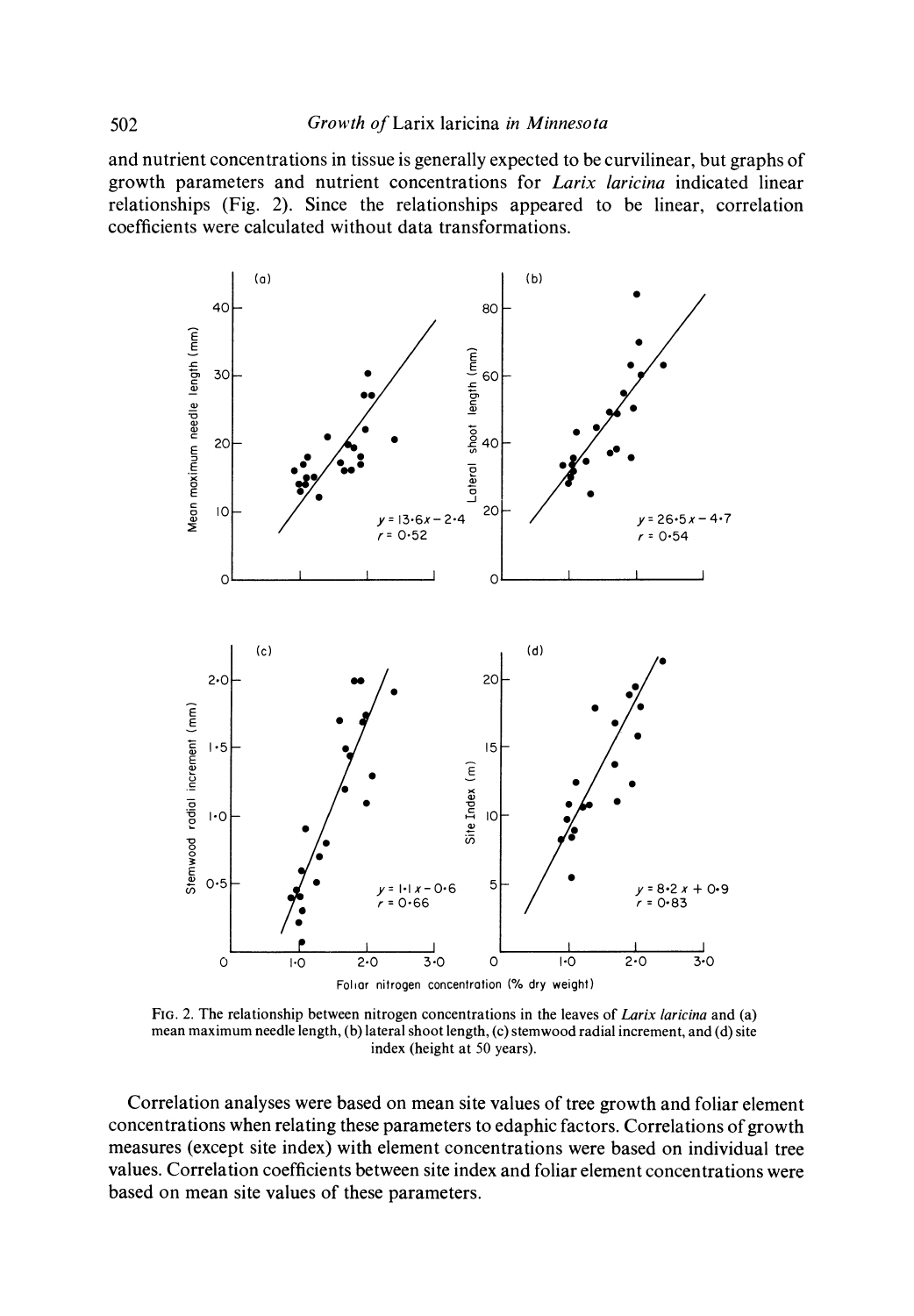and nutrient concentrations in tissue is generally expected to be curvilinear, but graphs of growth parameters and nutrient concentrations for Larix laricina indicated linear relationships (Fig. 2). Since the relationships appeared to be linear, correlation coefficients were calculated without data transformations.



FIG. 2. The relationship between nitrogen concentrations in the leaves of Larix laricina and (a) mean maximum needle length, (b) lateral shoot length, (c) stemwood radial increment, and (d) site index (height at 50 years).

Correlation analyses were based on mean site values of tree growth and foliar element concentrations when relating these parameters to edaphic factors. Correlations of growth measures (except site index) with element concentrations were based on individual tree values. Correlation coefficients between site index and foliar element concentrations were based on mean site values of these parameters.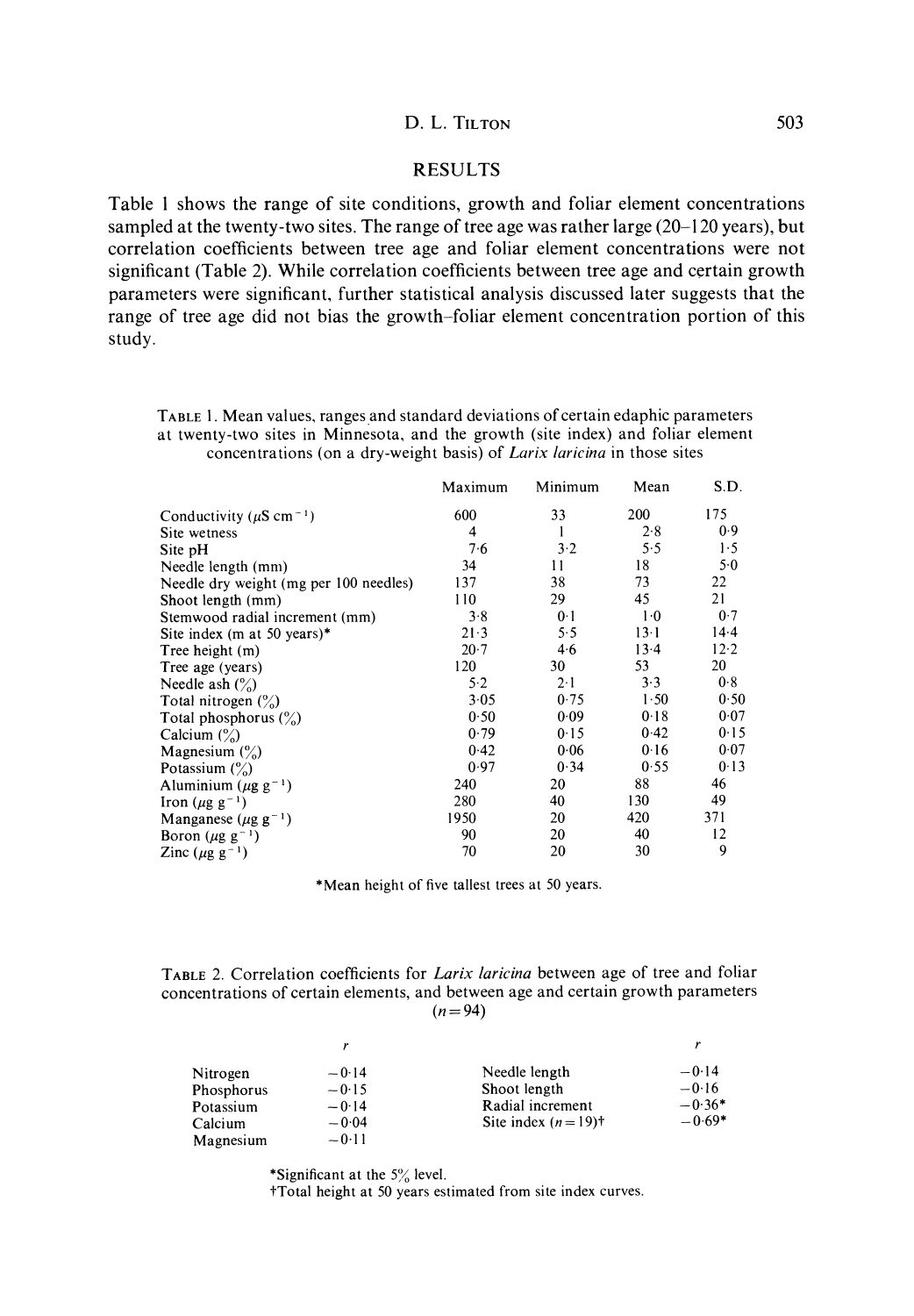### RESULTS

Table 1 shows the range of site conditions, growth and foliar element concentrations sampled at the twenty-two sites. The range of tree age was rather large (20-120 years), but correlation coefficients between tree age and foliar element concentrations were not significant (Table 2). While correlation coefficients between tree age and certain growth parameters were significant, further statistical analysis discussed later suggests that the range of tree age did not bias the growth-foliar element concentration portion of this study.

TABLE 1. Mean values, ranges and standard deviations of certain edaphic parameters at twenty-two sites in Minnesota, and the growth (site index) and foliar element concentrations (on a dry-weight basis) of Larix laricina in those sites

|                                           | Maximum | Minimum        | Mean   | S.D.  |
|-------------------------------------------|---------|----------------|--------|-------|
| Conductivity ( $\mu$ S cm <sup>-1</sup> ) | 600     | 33             | 200    | 175   |
| Site wetness                              | 4       | 1              | 2.8    | 0.9   |
| Site pH                                   | 7.6     | 3·2            | 5.5    | 1.5   |
| Needle length (mm)                        | 34      | 11             | 18     | $5-0$ |
| Needle dry weight (mg per 100 needles)    | 137     | 38             | 73     | 22    |
| Shoot length (mm)                         | 110     | 29             | 45     | 21    |
| Stemwood radial increment (mm)            | 3.8     | 0 <sup>1</sup> | $1-0$  | 0.7   |
| Site index (m at 50 years)*               | 21.3    | 5.5            | $13-1$ | 14.4  |
| Tree height (m)                           | 20.7    | 4.6            | $13-4$ | 12.2  |
| Tree age (years)                          | 120     | 30             | 53     | 20    |
| Needle ash $\binom{0}{0}$                 | 5.2     | $2 \cdot 1$    | 3.3    | 0.8   |
| Total nitrogen $(\%)$                     | 3.05    | 0.75           | 1.50   | 0.50  |
| Total phosphorus $(\%)$                   | 0.50    | 0.09           | 0.18   | 0.07  |
| Calcium $\binom{0}{0}$                    | 0.79    | 0.15           | 0.42   | 0.15  |
| Magnesium $\binom{0}{0}$                  | 0.42    | 0.06           | 0.16   | 0.07  |
| Potassium $\binom{0}{0}$                  | 0.97    | 0.34           | 0.55   | 0.13  |
| Aluminium ( $\mu$ g g <sup>-1</sup> )     | 240     | 20             | 88     | 46    |
| Iron ( $\mu$ g g <sup>-1</sup> )          | 280     | 40             | 130    | 49    |
| Manganese ( $\mu$ g g <sup>-1</sup> )     | 1950    | 20             | 420    | 371   |
| Boron $(\mu g g^{-1})$                    | 90      | 20             | 40     | 12    |
| Zinc ( $\mu$ g g <sup>-1</sup> )          | 70      | 20             | 30     | 9     |

\*Mean height of five tallest trees at 50 years.

TABLE 2. Correlation coefficients for Larix laricina between age of tree and foliar concentrations of certain elements, and between age and certain growth parameters  $(n = 94)$ 

| Nitrogen   | $-0.14$ | Needle length                    | $-0.14$  |
|------------|---------|----------------------------------|----------|
| Phosphorus | $-0.15$ | Shoot length                     | $-0.16$  |
| Potassium  | $-0.14$ | Radial increment                 | $-0.36*$ |
| Calcium    | $-0.04$ | Site index $(n=19)$ <sup>+</sup> | $-0.69*$ |
| Magnesium  | $-0.11$ |                                  |          |

\*Significant at the  $5\%$  level.

tTotal height at 50 years estimated from site index curves.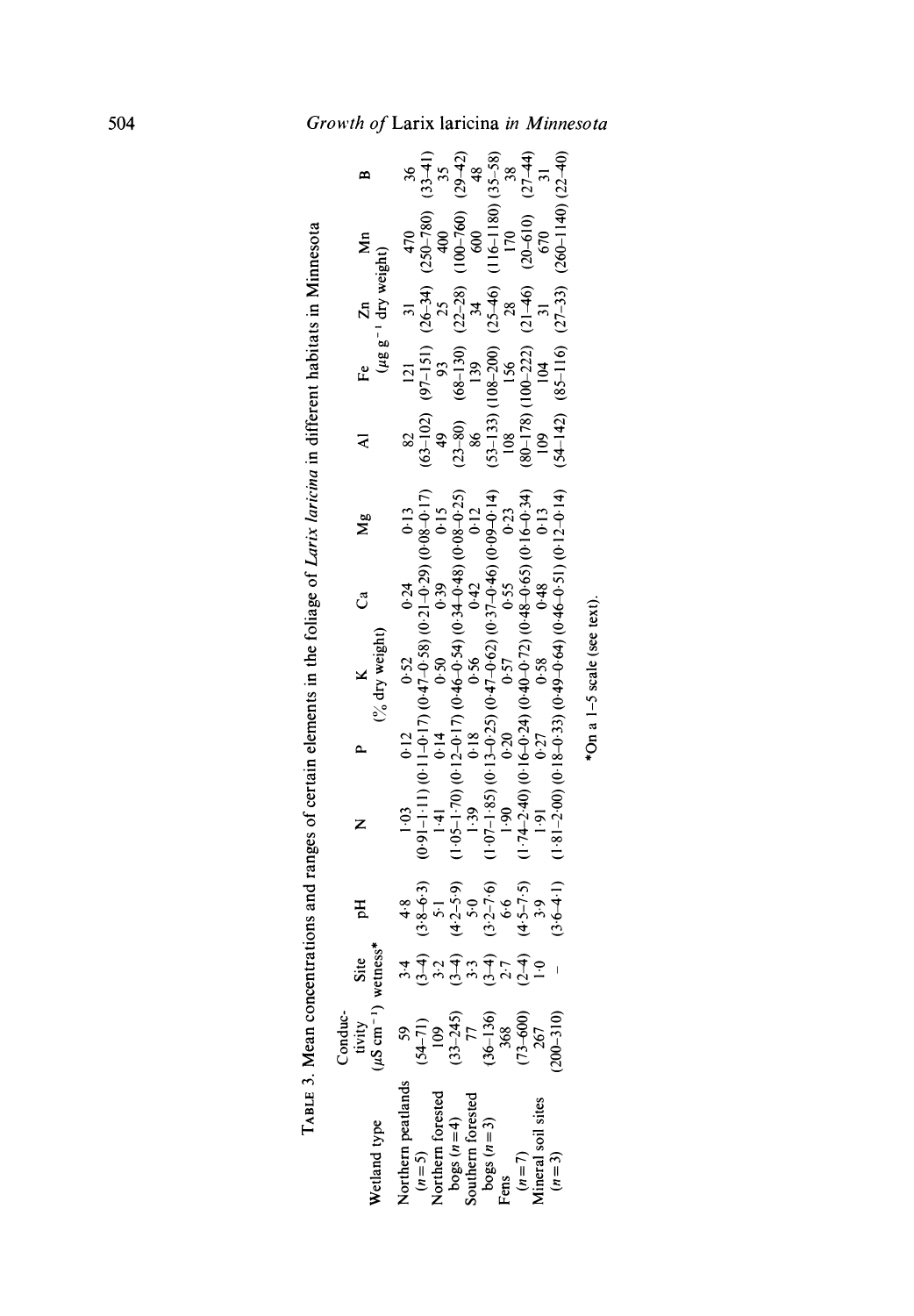|                                                                                   |                                                                                        |                  |                                                                                                                                                             | a a set 5. Mean concentations and ranges of certain elements in the collage of Larix lark in the collar thabitats in Minnesota                                                                                                                                             |                             |   |                            |  |                                                                                        |                                                                                                                                                                                                                                                         |  |
|-----------------------------------------------------------------------------------|----------------------------------------------------------------------------------------|------------------|-------------------------------------------------------------------------------------------------------------------------------------------------------------|----------------------------------------------------------------------------------------------------------------------------------------------------------------------------------------------------------------------------------------------------------------------------|-----------------------------|---|----------------------------|--|----------------------------------------------------------------------------------------|---------------------------------------------------------------------------------------------------------------------------------------------------------------------------------------------------------------------------------------------------------|--|
| Wetland type                                                                      | Conductivity<br>tivity<br>( $\mu$ S cm <sup>-1</sup> )                                 | Site<br>wetness* | Ъq                                                                                                                                                          |                                                                                                                                                                                                                                                                            | P $K$<br>$($ % dry weight)  | ී | $\mathbf{M}_{\mathcal{B}}$ |  | Fe $\begin{array}{c} Zn \\ (\mu g g^{-1} \mathrm{dry} \, \mathrm{weight}) \end{array}$ |                                                                                                                                                                                                                                                         |  |
|                                                                                   |                                                                                        |                  |                                                                                                                                                             |                                                                                                                                                                                                                                                                            |                             |   |                            |  |                                                                                        |                                                                                                                                                                                                                                                         |  |
| Northern peatlands                                                                |                                                                                        |                  |                                                                                                                                                             |                                                                                                                                                                                                                                                                            |                             |   |                            |  |                                                                                        |                                                                                                                                                                                                                                                         |  |
|                                                                                   |                                                                                        |                  |                                                                                                                                                             |                                                                                                                                                                                                                                                                            |                             |   |                            |  |                                                                                        |                                                                                                                                                                                                                                                         |  |
|                                                                                   |                                                                                        |                  |                                                                                                                                                             |                                                                                                                                                                                                                                                                            |                             |   |                            |  |                                                                                        |                                                                                                                                                                                                                                                         |  |
|                                                                                   |                                                                                        |                  |                                                                                                                                                             |                                                                                                                                                                                                                                                                            |                             |   |                            |  |                                                                                        |                                                                                                                                                                                                                                                         |  |
|                                                                                   |                                                                                        |                  |                                                                                                                                                             | $(0.3$ 0.12 0.52 0.24 0.13<br>$(0.91-1.11)(0.11-0.17)(0.47-0.58)(0.21-0.29)(0.08-0.17)$<br>$(1.41$ 0.14 0.50 0.39 0.39<br>$(1.05-1.70)(0.12-0.17)(0.46-0.54)(0.34-0.48)(0.08-0.25)$<br>$(1.39$ 0.18 0.56 0.42 0.12<br>1.39 0.18 0.56 0.42 0.12                             |                             |   |                            |  |                                                                                        |                                                                                                                                                                                                                                                         |  |
| $(n=5)$<br>Northern forested<br>bogs $(n=4)$<br>Southern forested<br>bogs $(n=3)$ | $(34-71)$<br>$(109$<br>$(109)$<br>$(33-245)$<br>$(36-136)$<br>$(36-136)$<br>$(73-600)$ |                  | $34$ $48$<br>$(3.8-6.3)$<br>$3.2$ $(3.8-6.3)$<br>$3.2$ $(4.2-5.9)$<br>$(3.4)$ $(4.2-5.9)$<br>$(3.5-7.6)$<br>$3.9$<br>$3.9$<br>$(3.6)$<br>$(2.4)$<br>$(2.4)$ | $(1-07-1.85)$ (0.13-0.25) (0.57-0.40) (0.0.0.0.0.14)<br>0.20<br>0.57<br>0.55<br>0.23                                                                                                                                                                                       |                             |   |                            |  |                                                                                        | $(63-102) (97-151) (26-34) (250-780) (33-41) (25-80) (63-10) (68-150) (25-28) (100-760) (29-42) (53-133) (108-200) (25-46) (116-1180) (35-88) (180-178) (106-222) (21-46) (21-61) (25-88) (80-178) (110-222) (21-46) (20-610) (27-44) (109) (104) (57)$ |  |
| Fens                                                                              |                                                                                        |                  |                                                                                                                                                             |                                                                                                                                                                                                                                                                            |                             |   |                            |  |                                                                                        |                                                                                                                                                                                                                                                         |  |
| $(n=7)$<br>Aineral soil sites                                                     |                                                                                        |                  |                                                                                                                                                             |                                                                                                                                                                                                                                                                            |                             |   |                            |  |                                                                                        |                                                                                                                                                                                                                                                         |  |
|                                                                                   |                                                                                        |                  |                                                                                                                                                             | (1, 0) = 0<br>(1, 0) 0<br>(1, 0) 0<br>(2, 0) 0<br>(2, 0) 0<br>(2, 0) 0<br>(2, 0) 0<br>(2, 0) 0<br>(2, 0) 0<br>(2, 0) 0<br>(2, 0) 0<br>(2, 0) 0<br>(2, 0) 0<br>(2, 0) 0<br>(2, 0) 0<br>(2, 0) 0<br>(2, 0) 0<br>(2, 0) 0<br>(2, 0) 0<br>(2, 0) 0<br>(2, 0) 0<br>(2, 0) 0<br> |                             |   |                            |  |                                                                                        |                                                                                                                                                                                                                                                         |  |
| $(n=3)$                                                                           | $200 - 310$                                                                            |                  | $(3.6 - 4.1)$                                                                                                                                               | $(1.81 - 0.12)$ (0.0-940) (65.0-940) (65.0-91.0) (66.0-91.0)                                                                                                                                                                                                               |                             |   |                            |  |                                                                                        | $(54-142)$ $(85-116)$ $(27-33)$ $(260-1140)$ $(22-40)$                                                                                                                                                                                                  |  |
|                                                                                   |                                                                                        |                  |                                                                                                                                                             |                                                                                                                                                                                                                                                                            | *On a 1-5 scale (see text). |   |                            |  |                                                                                        |                                                                                                                                                                                                                                                         |  |

 $\mathbf{H}^ \overline{a}$ 

\*On a 1-5 scale (see text).

# 504 Growth of Larix laricina in Minnesota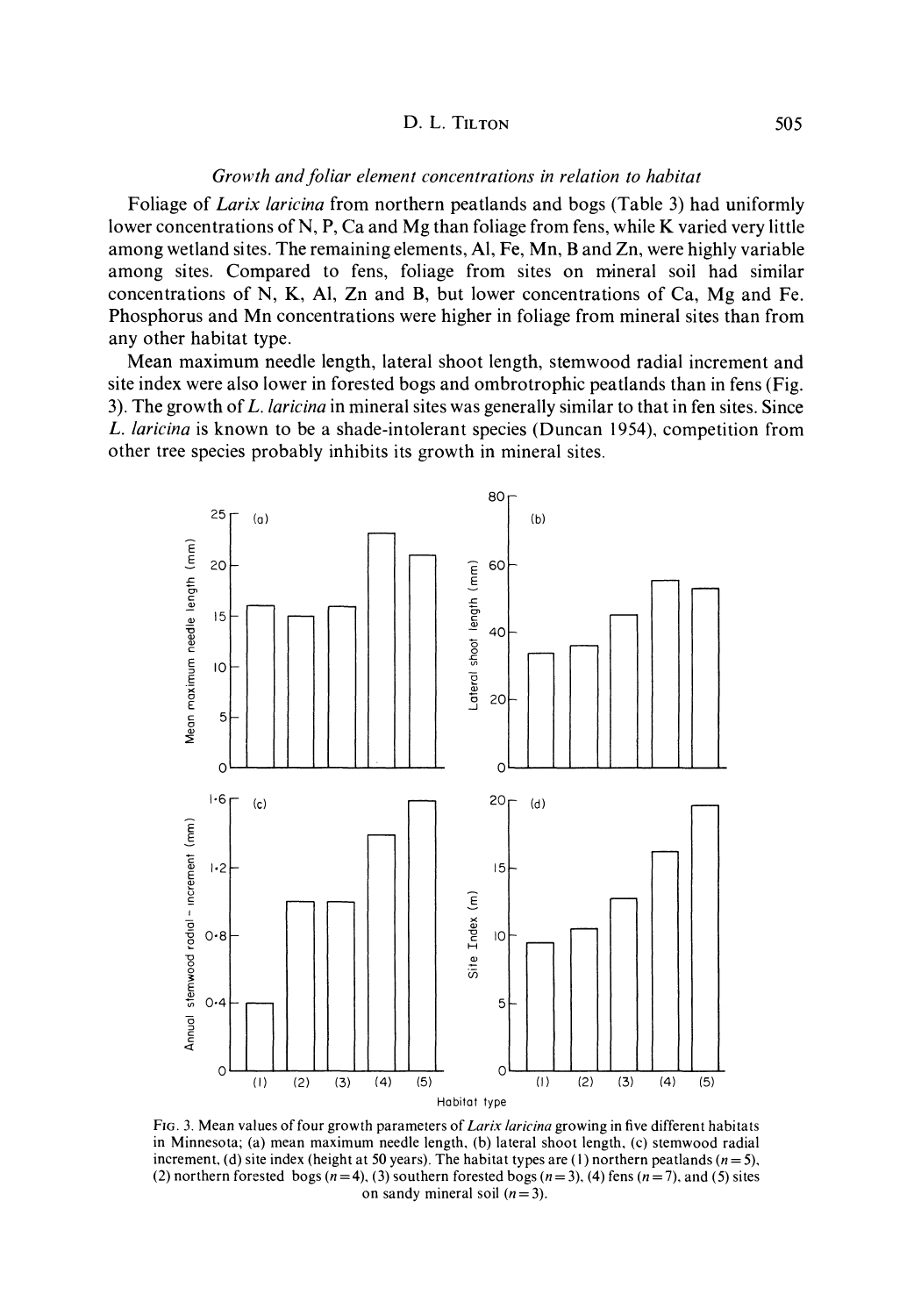### Growth and foliar element concentrations in relation to habitat

Foliage of *Larix laricina* from northern peatlands and bogs (Table 3) had uniformly lower concentrations of N, P, Ca and Mg than foliage from fens, while K varied very little among wetland sites. The remaining elements, Al, Fe, Mn, B and Zn, were highly variable among sites. Compared to fens, foliage from sites on mineral soil had similar concentrations of N, K, Al, Zn and B, but lower concentrations of Ca, Mg and Fe. Phosphorus and Mn concentrations were higher in foliage from mineral sites than from any other habitat type.

Mean maximum needle length, lateral shoot length, stemwood radial increment and site index were also lower in forested bogs and ombrotrophic peatlands than in fens (Fig. 3). The growth of L. laricina in mineral sites was generally similar to that in fen sites. Since L. laricina is known to be a shade-intolerant species (Duncan 1954), competition from other tree species probably inhibits its growth in mineral sites.



Fig. 3. Mean values of four growth parameters of *Larix laricina* growing in five different habitats in Minnesota; (a) mean maximum needle length, (b) lateral shoot length, (c) stemwood radial increment, (d) site index (height at 50 years). The habitat types are (1) northern peatlands  $(n=5)$ , (2) northern forested bogs  $(n=4)$ , (3) southern forested bogs  $(n=3)$ , (4) fens  $(n=7)$ , and (5) sites on sandy mineral soil  $(n=3)$ .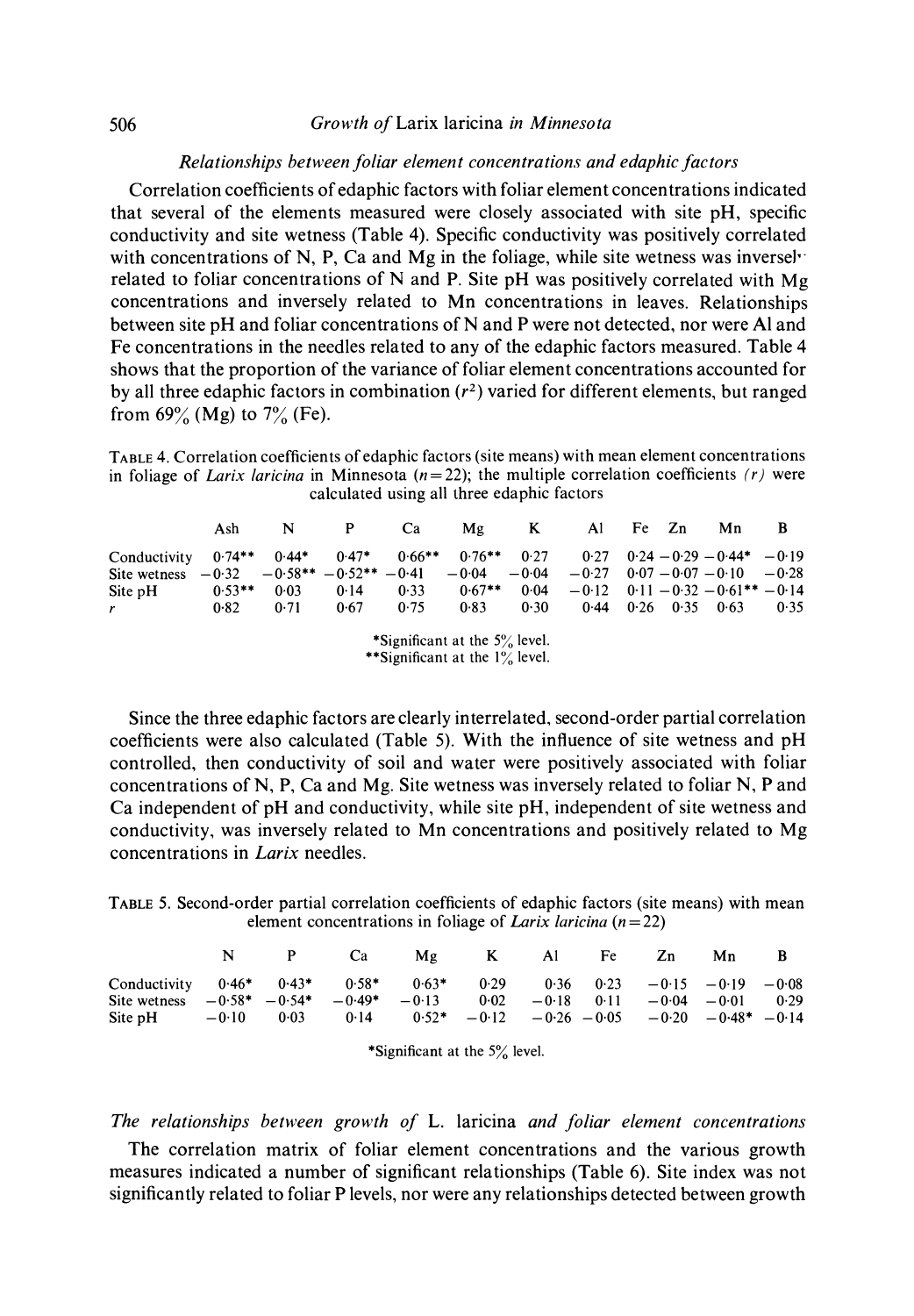### Relationships between foliar element concentrations and edaphic factors

Correlation coefficients of edaphic factors with foliar element concentrations indicated that several of the elements measured were closely associated with site pH, specific conductivity and site wetness (Table 4). Specific conductivity was positively correlated with concentrations of N, P, Ca and Mg in the foliage, while site wetness was inverselrelated to foliar concentrations of N and P. Site pH was positively correlated with Mg concentrations and inversely related to Mn concentrations in leaves. Relationships between site pH and foliar concentrations of N and P were not detected, nor were Al and Fe concentrations in the needles related to any of the edaphic factors measured. Table 4 shows that the proportion of the variance of foliar element concentrations accounted for by all three edaphic factors in combination  $(r^2)$  varied for different elements, but ranged from  $69\%$  (Mg) to  $7\%$  (Fe).

TABLE 4. Correlation coefficients of edaphic factors (site means) with mean element concentrations in foliage of Larix laricina in Minnesota ( $n=22$ ); the multiple correlation coefficients (r) were calculated using all three edaphic factors

|                              | Ash       | N       | P                                          | Ca       | Mg                               | $K_{\perp}$     |                                       | Al Fe Zn |               | Mn                                  | B    |
|------------------------------|-----------|---------|--------------------------------------------|----------|----------------------------------|-----------------|---------------------------------------|----------|---------------|-------------------------------------|------|
| Conductivity<br>Site wetness | $0.74***$ | $0.44*$ | $0.47*$<br>$-0.32 -0.58*** -0.52*** -0.41$ | $0.66**$ | $0.76***$<br>$-0.04$             | 0.27<br>$-0.04$ | $-0.27$ $0.07 - 0.07 - 0.10$ $-0.28$  |          |               | $0.27$ $0.24 - 0.29 - 0.44* - 0.19$ |      |
| Site pH                      | $0.53**$  | 0.03    | 0.14                                       | 0.33     | $0.67**$                         | 0.04            | $-0.12$ $0.11 - 0.32 - 0.61** - 0.14$ |          |               |                                     |      |
| r                            | 0.82      | 0.71    | 0.67                                       | 0.75     | 0.83                             | 0.30            | 0.44                                  |          | $0.26$ $0.35$ | - 0.63                              | 0.35 |
|                              |           |         |                                            |          | *Significant at the $5\%$ level. |                 |                                       |          |               |                                     |      |

\*\*Significant at the 1% level.

Since the three edaphic factors are clearly interrelated, second-order partial correlation coefficients were also calculated (Table 5). With the influence of site wetness and pH controlled, then conductivity of soil and water were positively associated with foliar concentrations of N, P, Ca and Mg. Site wetness was inversely related to foliar N, P and Ca independent of pH and conductivity, while site pH, independent of site wetness and conductivity, was inversely related to Mn concentrations and positively related to Mg concentrations in Larix needles.

TABLE 5. Second-order partial correlation coefficients of edaphic factors (site means) with mean element concentrations in foliage of Larix laricina  $(n=22)$ 

|                                                                                        |  | N P Ca Mg K Al Fe Zn                                                         |                                                        |  |  | Mn B |      |
|----------------------------------------------------------------------------------------|--|------------------------------------------------------------------------------|--------------------------------------------------------|--|--|------|------|
| Conductivity<br>Site wetness $-0.58^* - 0.54^*$                                        |  | $0.46*$ $0.43*$ $0.58*$ $0.63*$ $0.29$ $0.36$ $0.23$ $-0.15$ $-0.19$ $-0.08$ | $-0.49*$ $-0.13$ $0.02$ $-0.18$ $0.11$ $-0.04$ $-0.01$ |  |  |      | 0.29 |
| Site pH $-0.10$ $0.03$ $0.14$ $0.52*$ $-0.12$ $-0.26$ $-0.05$ $-0.20$ $-0.48*$ $-0.14$ |  |                                                                              |                                                        |  |  |      |      |

\*Significant at the 5% level.

The relationships between growth of L. laricina and foliar element concentrations

The correlation matrix of foliar element concentrations and the various growth measures indicated a number of significant relationships (Table 6). Site index was not significantly related to foliar P levels, nor were any relationships detected between growth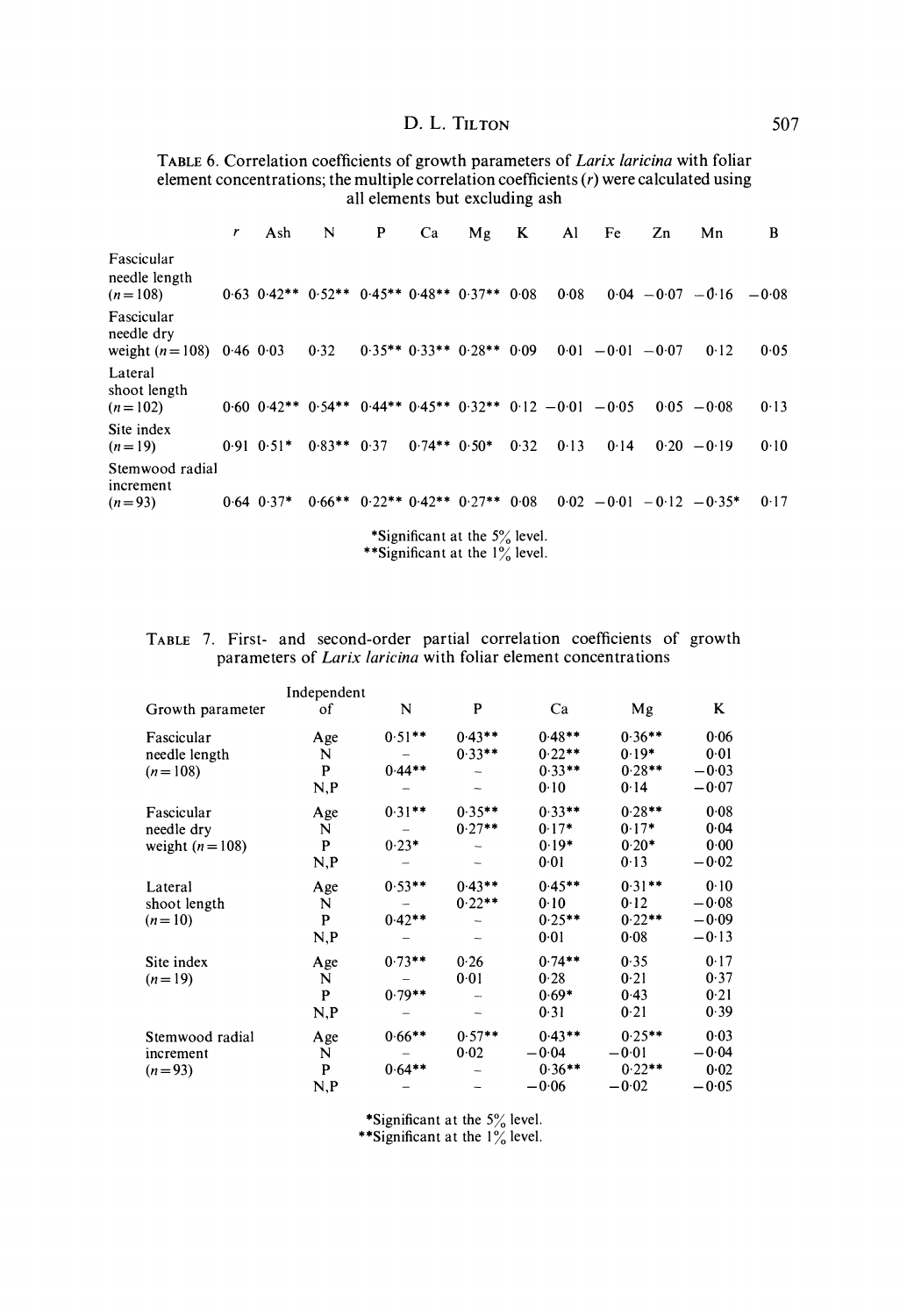TABLE 6. Correlation coefficients of growth parameters of Larix laricina with foliar element concentrations; the multiple correlation coefficients (r) were calculated using all elements but excluding ash

|                                                        | r | Ash            | N                                                                          | P | Ca             | Mg                               | K    | Al   | Fe                   | Zn | Mn                           | B    |
|--------------------------------------------------------|---|----------------|----------------------------------------------------------------------------|---|----------------|----------------------------------|------|------|----------------------|----|------------------------------|------|
| Fascicular<br>needle length<br>$(n=108)$               |   |                | $0.63$ $0.42**$ $0.52**$ $0.45**$ $0.48**$ $0.37**$ $0.08$                 |   |                |                                  |      | 0.08 |                      |    | $0.04 - 0.07 - 0.16 - 0.08$  |      |
| Fascicular<br>needle dry<br>weight $(n=108)$ 0.46 0.03 |   |                | 0.32                                                                       |   |                | $0.35***$ $0.33**$ $0.28**$      | 0.09 |      | $0.01 - 0.01 - 0.07$ |    | 0.12                         | 0.05 |
| Lateral<br>shoot length<br>$(n=102)$                   |   |                | $0.60$ $0.42**$ $0.54**$ $0.44**$ $0.45**$ $0.32**$ $0.12$ $-0.01$ $-0.05$ |   |                |                                  |      |      |                      |    | $0.05 - 0.08$                | 0.13 |
| Site index<br>$(n=19)$                                 |   | $0.91$ $0.51*$ | $0.83**$ 0.37                                                              |   | $0.74**$ 0.50* |                                  | 0.32 | 0.13 | 0.14                 |    | $0.20 - 0.19$                | 0.10 |
| Stemwood radial<br>increment<br>$(n=93)$               |   | $0.64$ $0.37*$ | $0.66***$                                                                  |   |                | $0.22***$ 0.42** 0.27**          | 0.08 |      |                      |    | $0.02 - 0.01 - 0.12 - 0.35*$ | 0.17 |
|                                                        |   |                |                                                                            |   |                | *Significant at the $5\%$ level. |      |      |                      |    |                              |      |

\*\*Significant at the 1% level.

|  |  | TABLE 7. First- and second-order partial correlation coefficients of growth |  |  |  |
|--|--|-----------------------------------------------------------------------------|--|--|--|
|  |  | parameters of <i>Larix laricina</i> with foliar element concentrations      |  |  |  |

|                  | Independent |                          |           |           |           |         |
|------------------|-------------|--------------------------|-----------|-----------|-----------|---------|
| Growth parameter | of          | N                        | P         | Ca        | Mg        | K       |
| Fascicular       | Age         | $0.51***$                | $0.43***$ | $0.48**$  | $0.36**$  | 0.06    |
| needle length    | N           |                          | $0.33**$  | $0.22**$  | $0.19*$   | 0.01    |
| $(n=108)$        | P           | $0.44***$                |           | $0.33***$ | $0.28**$  | $-0.03$ |
|                  | N, P        |                          |           | 0.10      | 0.14      | $-0.07$ |
| Fascicular       | Age         | $0.31***$                | $0.35***$ | $0.33**$  | $0.28**$  | 0.08    |
| needle dry       | N           |                          | $0.27**$  | $0.17*$   | $0.17*$   | 0.04    |
| weight $(n=108)$ | P           | $0.23*$                  |           | $0.19*$   | $0.20*$   | 0.00    |
|                  | N, P        |                          |           | 0.01      | 0.13      | $-0.02$ |
| Lateral          | Age         | $0.53**$                 | $0.43**$  | $0.45***$ | $0.31**$  | 0.10    |
| shoot length     | N           | $\overline{\phantom{a}}$ | $0.22***$ | 0.10      | 0.12      | $-0.08$ |
| $(n=10)$         | P           | $0.42**$                 |           | $0.25***$ | $0.22**$  | $-0.09$ |
|                  | N, P        |                          |           | 0.01      | 0.08      | $-0.13$ |
| Site index       | Age         | $0.73***$                | 0.26      | $0.74**$  | 0.35      | 0.17    |
| $(n=19)$         | N           |                          | 0.01      | 0.28      | 0.21      | 0.37    |
|                  | P           | $0.79**$                 |           | $0.69*$   | 0.43      | 0.21    |
|                  | N,P         |                          |           | 0.31      | 0.21      | 0.39    |
| Stemwood radial  | Age         | $0.66***$                | $0.57**$  | $0.43**$  | $0.25**$  | 0.03    |
| increment        | N           |                          | 0.02      | $-0.04$   | $-0.01$   | $-0.04$ |
| $(n=93)$         | P           | $0.64***$                |           | $0.36**$  | $0.22***$ | 0.02    |
|                  | N, P        |                          |           | $-0.06$   | $-0.02$   | $-0.05$ |

\*Significant at the 5% level.

\*\*Significant at the  $1\%$  level.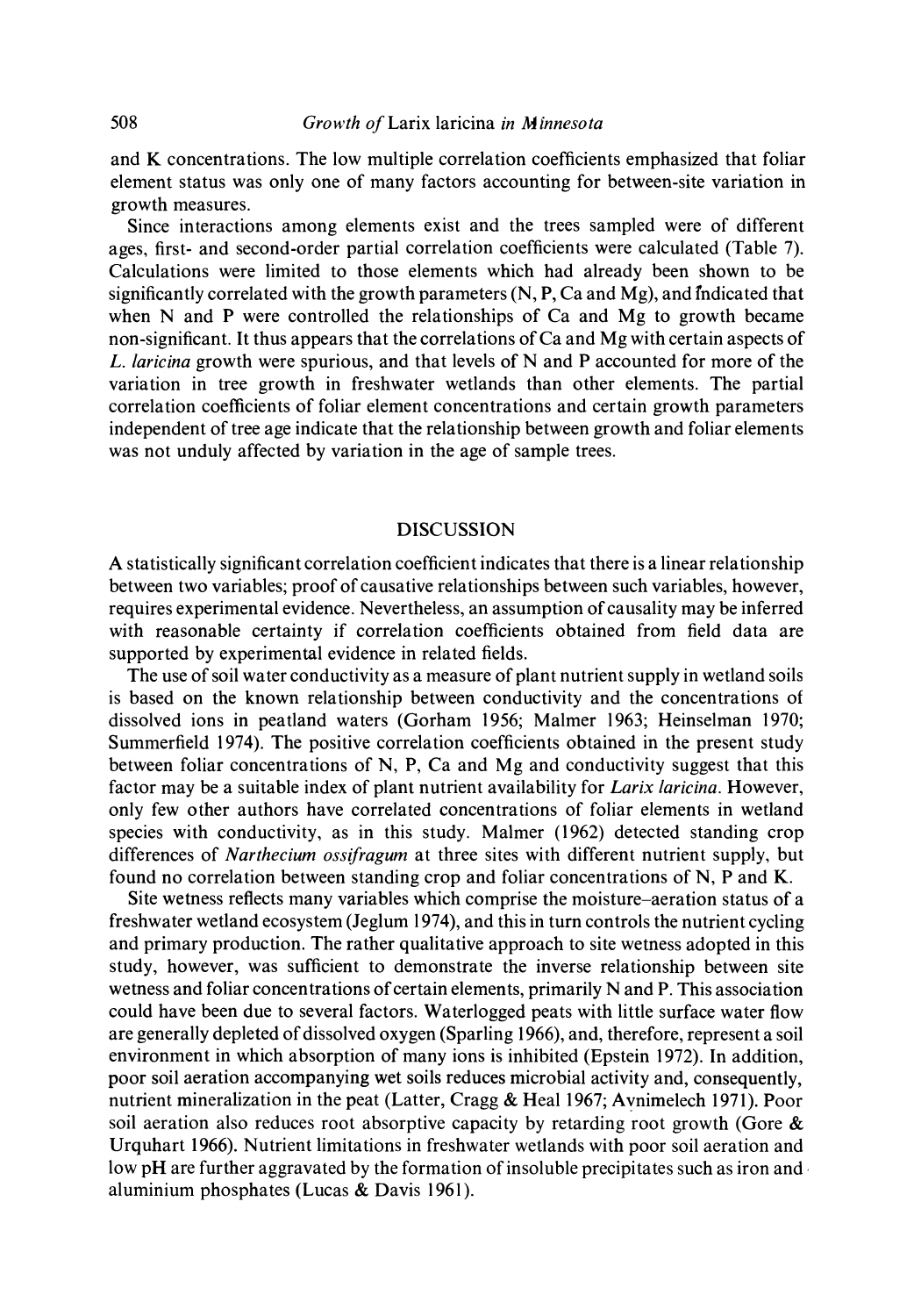and K concentrations. The low multiple correlation coefficients emphasized that foliar element status was only one of many factors accounting for between-site variation in growth measures.

Since interactions among elements exist and the trees sampled were of different ages, first- and second-order partial correlation coefficients were calculated (Table 7). Calculations were limited to those elements which had already been shown to be significantly correlated with the growth parameters  $(N, P, Ca$  and  $Mg$ , and indicated that when N and P were controlled the relationships of Ca and Mg to growth became non-significant. It thus appears that the correlations of Ca and Mg with certain aspects of L. *laricina* growth were spurious, and that levels of N and P accounted for more of the variation in tree growth in freshwater wetlands than other elements. The partial correlation coefficients of foliar element concentrations and certain growth parameters independent of tree age indicate that the relationship between growth and foliar elements was not unduly affected by variation in the age of sample trees.

### DISCUSSION

A statistically significant correlation coefficient indicates that there is a linear relationship between two variables; proof of causative relationships between such variables, however, requires experimental evidence. Nevertheless, an assumption of causality may be inferred with reasonable certainty if correlation coefficients obtained from field data are supported by experimental evidence in related fields.

The use of soil water conductivity as a measure of plant nutrient supply in wetland soils is based on the known relationship between conductivity and the concentrations of dissolved ions in peatland waters (Gorham 1956; Malmer 1963; Heinselman 1970; Summerfield 1974). The positive correlation coefficients obtained in the present study between foliar concentrations of N, P, Ca and Mg and conductivity suggest that this factor may be a suitable index of plant nutrient availability for Larix laricina. However, only few other authors have correlated concentrations of foliar elements in wetland species with conductivity, as in this study. Malmer (1962) detected standing crop differences of *Narthecium ossifragum* at three sites with different nutrient supply, but found no correlation between standing crop and foliar concentrations of N, P and K.

Site wetness reflects many variables which comprise the moisture-aeration status of a freshwater wetland ecosystem (Jeglum 1974), and this in turn controls the nutrient cycling and primary production. The rather qualitative approach to site wetness adopted in this study, however, was sufficient to demonstrate the inverse relationship between site wetness and foliar concentrations of certain elements, primarily N and P. This association could have been due to several factors. Waterlogged peats with little surface water flow are generally depleted of dissolved oxygen (Sparling 1966), and, therefore, represent a soil environment in which absorption of many ions is inhibited (Epstein 1972). In addition, poor soil aeration accompanying wet soils reduces microbial activity and, consequently, nutrient mineralization in the peat (Latter, Cragg & Heal 1967; Avnimelech 1971). Poor soil aeration also reduces root absorptive capacity by retarding root growth (Gore  $\&$ Urquhart 1966). Nutrient limitations in freshwater wetlands with poor soil aeration and low pH are further aggravated by the formation of insoluble precipitates such as iron and aluminium phosphates (Lucas & Davis 1961).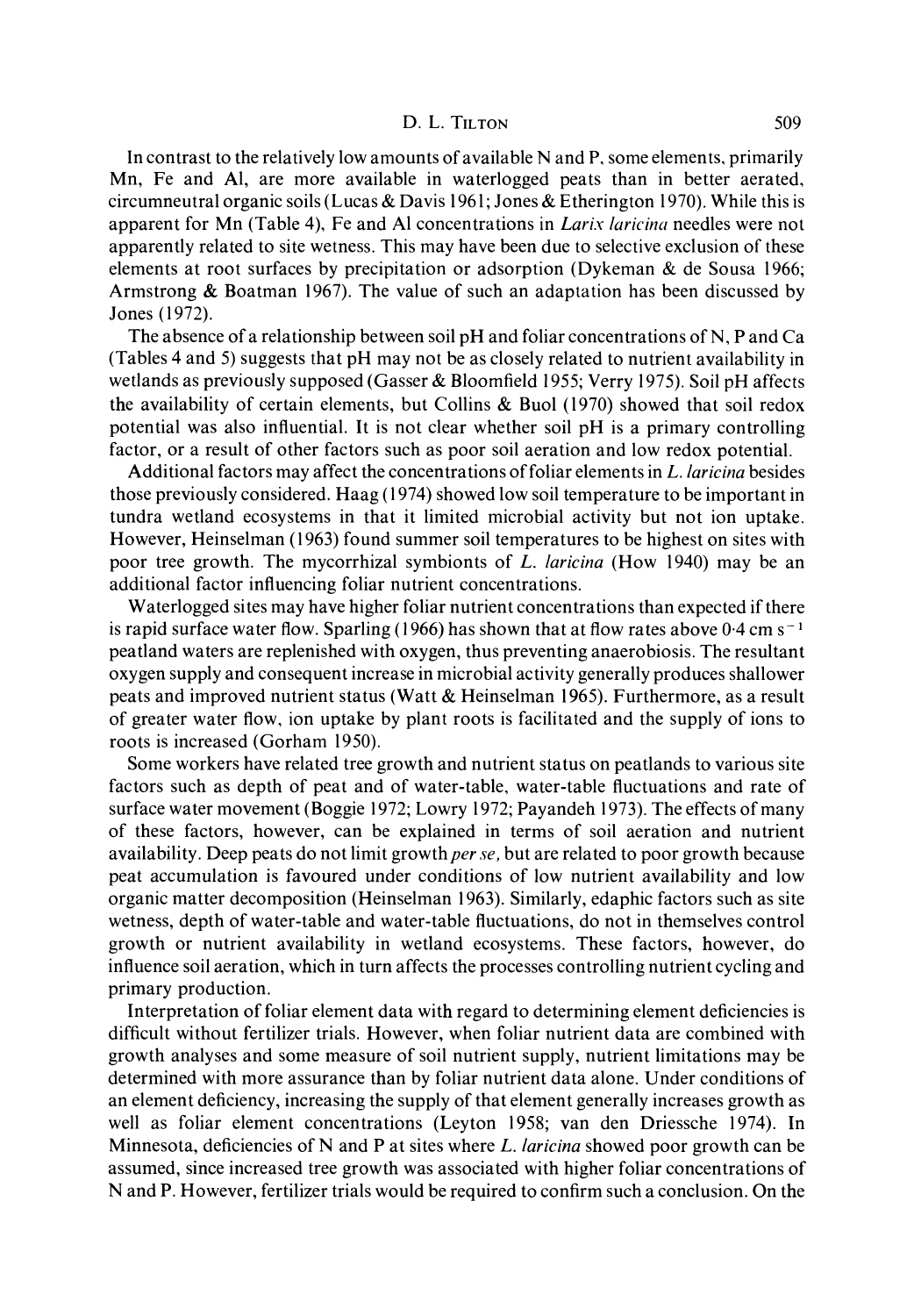In contrast to the relatively low amounts of available N and P, some elements, primarily Mn, Fe and Al, are more available in waterlogged peats than in better aerated, circumneutral organic soils (Lucas & Davis 1961; Jones & Etherington 1970). While this is apparent for Mn (Table 4), Fe and Al concentrations in Larix laricina needles were not apparently related to site wetness. This may have been due to selective exclusion of these elements at root surfaces by precipitation or adsorption (Dykeman & de Sousa 1966; Armstrong & Boatman 1967). The value of such an adaptation has been discussed by Jones (1972).

The absence of a relationship between soil pH and foliar concentrations of N, P and Ca (Tables 4 and 5) suggests that pH may not be as closely related to nutrient availability in wetlands as previously supposed (Gasser & Bloomfield 1955; Verry 1975). Soil pH affects the availability of certain elements, but Collins & Buol (1970) showed that soil redox potential was also influential. It is not clear whether soil pH is a primary controlling factor, or a result of other factors such as poor soil aeration and low redox potential.

Additional factors may affect the concentrations of foliar elements in  $L$ . *laricina* besides those previously considered. Haag (1974) showed low soil temperature to be important in tundra wetland ecosystems in that it limited microbial activity but not ion uptake. However, Heinselman (1963) found summer soil temperatures to be highest on sites with poor tree growth. The mycorrhizal symbionts of L. laricina (How 1940) may be an additional factor influencing foliar nutrient concentrations.

Waterlogged sites may have higher foliar nutrient concentrations than expected if there is rapid surface water flow. Sparling (1966) has shown that at flow rates above  $0.4 \text{ cm s}^{-1}$ peatland waters are replenished with oxygen, thus preventing anaerobiosis. The resultant oxygen supply and consequent increase in microbial activity generally produces shallower peats and improved nutrient status (Watt & Heinselman 1965). Furthermore, as a result of greater water flow, ion uptake by plant roots is facilitated and the supply of ions to roots is increased (Gorham 1950).

Some workers have related tree growth and nutrient status on peatlands to various site factors such as depth of peat and of water-table, water-table fluctuations and rate of surface water movement (Boggie 1972; Lowry 1972; Payandeh 1973). The effects of many of these factors, however, can be explained in terms of soil aeration and nutrient availability. Deep peats do not limit growth *per se*, but are related to poor growth because peat accumulation is favoured under conditions of low nutrient availability and low organic matter decomposition (Heinselman 1963). Similarly, edaphic factors such as site wetness, depth of water-table and water-table fluctuations, do not in themselves control growth or nutrient availability in wetland ecosystems. These factors, however, do influence soil aeration, which in turn affects the processes controlling nutrient cycling and primary production.

Interpretation of foliar element data with regard to determining element deficiencies is difficult without fertilizer trials. However, when foliar nutrient data are combined with growth analyses and some measure of soil nutrient supply, nutrient limitations may be determined with more assurance than by foliar nutrient data alone. Under conditions of an element deficiency, increasing the supply of that element generally increases growth as well as foliar element concentrations (Leyton 1958; van den Driessche 1974). In Minnesota, deficiencies of N and P at sites where  $L$ . *laricina* showed poor growth can be assumed, since increased tree growth was associated with higher foliar concentrations of N and P. However, fertilizer trials would be required to confirm such a conclusion. On the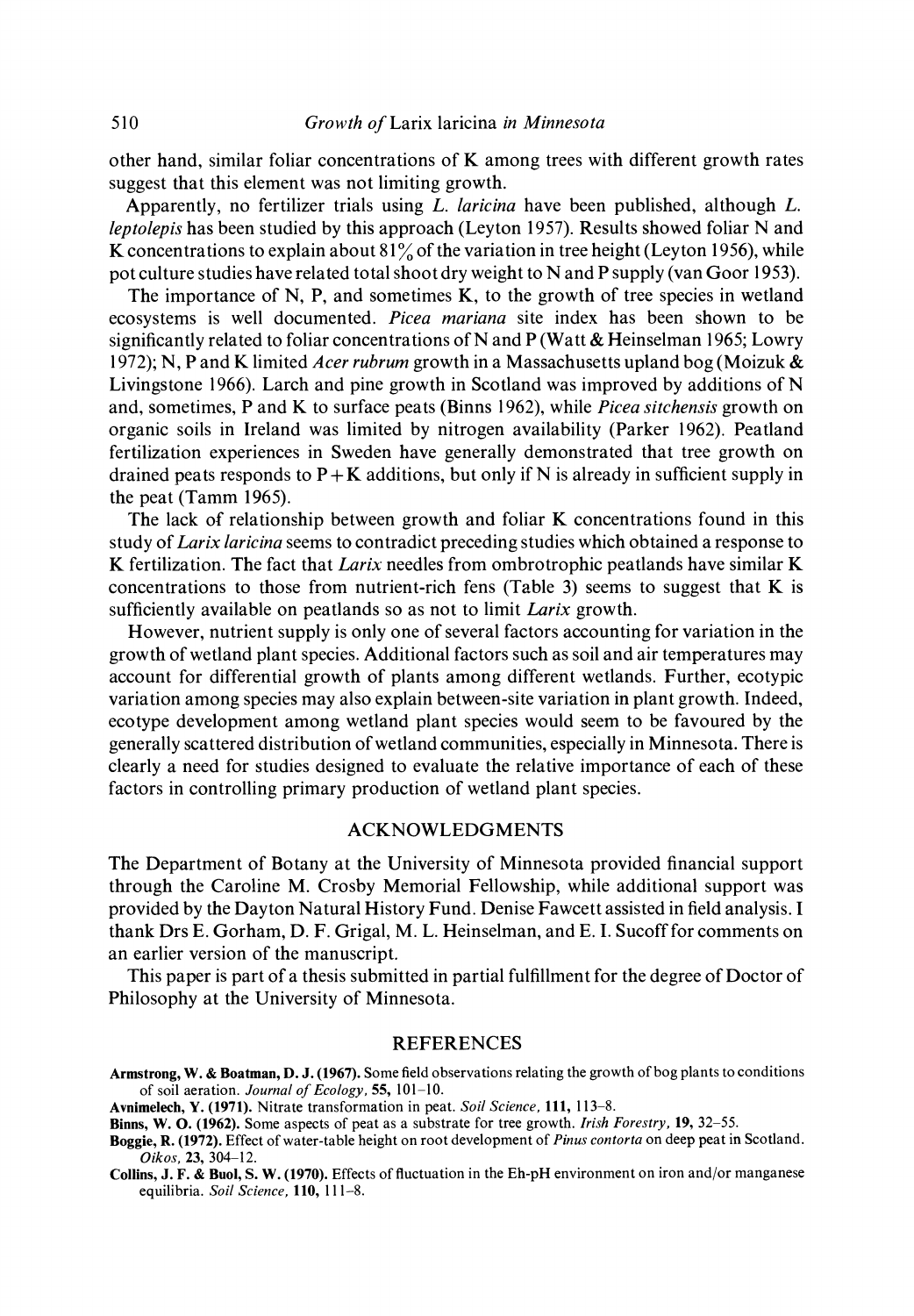other hand, similar foliar concentrations of K among trees with different growth rates suggest that this element was not limiting growth.

Apparently, no fertilizer trials using L. laricina have been published, although L. leptolepis has been studied by this approach (Leyton 1957). Results showed foliar N and K concentrations to explain about  $81\%$  of the variation in tree height (Leyton 1956), while pot culture studies have related total shoot dry weight to N and P supply (van Goor 1953).

The importance of N, P, and sometimes  $K$ , to the growth of tree species in wetland ecosystems is well documented. Picea mariana site index has been shown to be significantly related to foliar concentrations of N and P (Watt  $\&$  Heinselman 1965; Lowry 1972); N, P and K limited *Acer rubrum* growth in a Massachusetts upland bog (Moizuk  $\&$ Livingstone 1966). Larch and pine growth in Scotland was improved by additions of N and, sometimes, P and K to surface peats (Binns 1962), while *Picea sitchensis* growth on organic soils in Ireland was limited by nitrogen availability (Parker 1962). Peatland fertilization experiences in Sweden have generally demonstrated that tree growth on drained peats responds to  $P+K$  additions, but only if N is already in sufficient supply in the peat (Tamm 1965).

The lack of relationship between growth and foliar K concentrations found in this study of Larix laricina seems to contradict preceding studies which obtained a response to K fertilization. The fact that Larix needles from ombrotrophic peatlands have similar  $K$ concentrations to those from nutrient-rich fens (Table 3) seems to suggest that  $K$  is sufficiently available on peatlands so as not to limit *Larix* growth.

However, nutrient supply is only one of several factors accounting for variation in the growth of wetland plant species. Additional factors such as soil and air temperatures may account for differential growth of plants among different wetlands. Further, ecotypic variation among species may also explain between-site variation in plant growth. Indeed, ecotype development among wetland plant species would seem to be favoured by the generally scattered distribution of wetland communities, especially in Minnesota. There is clearly a need for studies designed to evaluate the relative importance of each of these factors in controlling primary production of wetland plant species.

### ACKNOWLEDGMENTS

The Department of Botany at the University of Minnesota provided financial support through the Caroline M. Crosby Memorial Fellowship, while additional support was provided by the Dayton Natural History Fund. Denise Fawcett assisted in field analysis. I thank Drs E. Gorham, D. F. Grigal, M. L. Heinselman, and E. I. Sucoff for comments on an earlier version of the manuscript.

This paper is part of a thesis submitted in partial fulfillment for the degree of Doctor of Philosophy at the University of Minnesota.

### REFERENCES

Collins, J. F. & Buol, S. W. (1970). Effects of fluctuation in the Eh-pH environment on iron and/or manganese equilibria. Soil Science, 110, 111-8.

Armstrong, W. & Boatman, D. J. (1967). Some field observations relating the growth of bog plants to conditions of soil aeration. Journal of Ecology, 55, 101-10.

Avnimelech, Y. (1971). Nitrate transformation in peat. Soil Science, 111, 113-8.

Binns, W. O. (1962). Some aspects of peat as a substrate for tree growth. Irish Forestry, 19, 32–55.

Boggie, R. (1972). Effect of water-table height on root development of Pinus contorta on deep peat in Scotland. Oikos, 23, 304-12.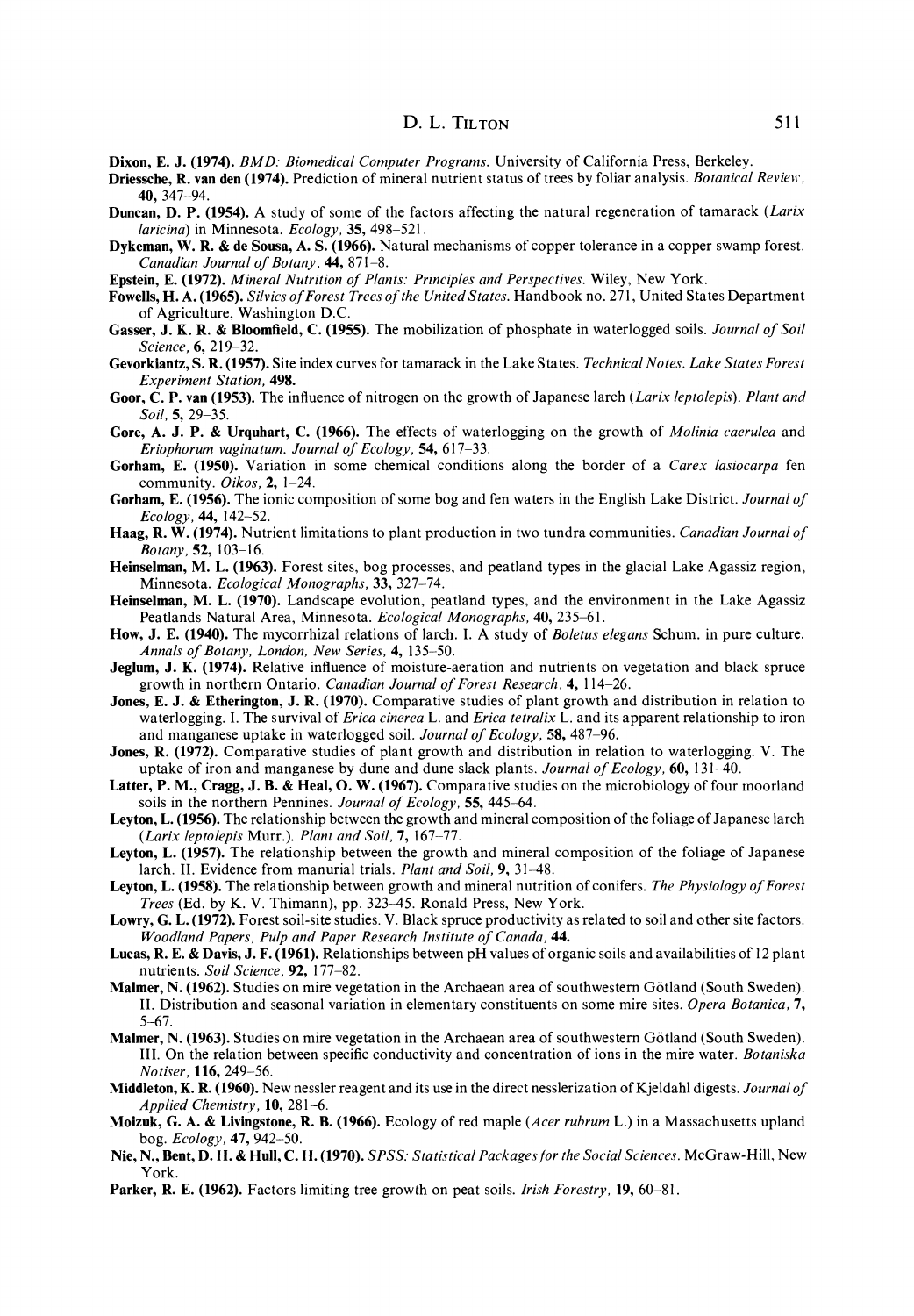- Dixon, E. J. (1974). BMD: Biomedical Computer Programs. University of California Press, Berkeley.
- Driessche, R. van den (1974). Prediction of mineral nutrient status of trees by foliar analysis. Botanical Review, 40, 347-94.
- Duncan, D. P. (1954). A study of some of the factors affecting the natural regeneration of tamarack (Larix laricina) in Minnesota. Ecology, 35, 498-521.
- Dykeman, W. R. & de Sousa, A. S. (1966). Natural mechanisms of copper tolerance in a copper swamp forest. Canadian Journal of Botany, 44, 871-8.
- Epstein, E. (1972). Mineral Nutrition of Plants: Principles and Perspectives. Wiley, New York.
- Fowells, H. A. (1965). Silvics of Forest Trees of the United States. Handbook no. 271, United States Department of Agriculture, Washington D.C.
- Gasser, J. K. R. & Bloomfield, C. (1955). The mobilization of phosphate in waterlogged soils. Journal of Soil Science, 6, 219-32.
- Gevorkiantz, S. R. (1957). Site index curves for tamarack in the Lake States. Technical Notes. Lake States Forest Experiment Station, 498.
- Goor, C. P. van (1953). The influence of nitrogen on the growth of Japanese larch (Larix leptolepis). Plant and Soil, 5, 29–35.
- Gore, A. J. P. & Urquhart, C. (1966). The effects of waterlogging on the growth of Molinia caerulea and Eriophorum vaginatum. Journal of Ecology, 54, 617-33.
- Gorham, E. (1950). Variation in some chemical conditions along the border of a *Carex lasiocarpa* fen community. Oikos, 2, 1-24.
- Gorham, E. (1956). The ionic composition of some bog and fen waters in the English Lake District. Journal of  $Ecology, 44, 142-52.$
- Haag, R. W. (1974). Nutrient limitations to plant production in two tundra communities. Canadian Journal of Botany, 52, 103-16.
- Heinselman, M. L. (1963). Forest sites, bog processes, and peatland types in the glacial Lake Agassiz region, Minnesota. Ecological Monographs, 33, 327-74.
- Heinselman, M. L. (1970). Landscape evolution, peatland types, and the environment in the Lake Agassiz Peatlands Natural Area, Minnesota. Ecological Monographs, 40, 235-61.
- How, J. E. (1940). The mycorrhizal relations of larch. I. A study of Boletus elegans Schum. in pure culture. Annals of Botany, London, New Series, 4, 135-50.
- Jeglum, J. K. (1974). Relative influence of moisture-aeration and nutrients on vegetation and black spruce growth in northern Ontario. Canadian Journal of Forest Research, 4, 114-26.
- Jones, E. J. & Etherington, J. R. (1970). Comparative studies of plant growth and distribution in relation to waterlogging. I. The survival of *Erica cinerea* L. and *Erica tetralix* L. and its apparent relationship to iron and manganese uptake in waterlogged soil. Journal of Ecology, 58, 487-96.
- Jones, R. (1972). Comparative studies of plant growth and distribution in relation to waterlogging. V. The uptake of iron and manganese by dune and dune slack plants. Journal of Ecology,  $60$ , 131–40.
- Latter, P. M., Cragg, J. B. & Heal, O. W. (1967). Comparative studies on the microbiology of four moorland soils in the northern Pennines. Journal of Ecology, 55, 445-64.
- Leyton, L. (1956). The relationship between the growth and mineral composition of the foliage of Japanese larch (Larix leptolepis Murr.). Plant and Soil, 7, 167-77.
- Leyton, L. (1957). The relationship between the growth and mineral composition of the foliage of Japanese larch. II. Evidence from manurial trials. Plant and Soil, 9, 31-48.
- Leyton, L. (1958). The relationship between growth and mineral nutrition of conifers. The Physiology of Forest Trees (Ed. by K. V. Thimann), pp. 323-45. Ronald Press, New York.
- Lowry, G. L. (1972). Forest soil-site studies. V. Black spruce productivity as related to soil and other site factors. Woodland Papers, Pulp and Paper Research Institute of Canada, 44.
- Lucas, R. E. & Davis, J. F. (1961). Relationships between pH values of organic soils and availabilities of 12 plant nutrients. Soil Science, 92, 177-82.
- Malmer, N. (1962). Studies on mire vegetation in the Archaean area of southwestern Götland (South Sweden). II. Distribution and seasonal variation in elementary constituents on some mire sites. Opera Botanica, 7, 5-67.
- Malmer, N. (1963). Studies on mire vegetation in the Archaean area of southwestern Götland (South Sweden). III. On the relation between specific conductivity and concentration of ions in the mire water. Botaniska Notiser, 116, 249-56.
- **Middleton, K. R. (1960).** New nessler reagent and its use in the direct nesslerization of Kjeldahl digests. *Journal of* Applied Chemistry, 10, 281-6.
- Moizuk, G. A. & Livingstone, R. B. (1966). Ecology of red maple (Acer rubrum L.) in a Massachusetts upland bog. Ecology, 47, 942-50.
- Nie, N., Bent, D. H. & Hull, C. H. (1970). SPSS: Statistical Packages for the Social Sciences. McGraw-Hill, New York.
- Parker, R. E. (1962). Factors limiting tree growth on peat soils. *Irish Forestry*, 19, 60–81.